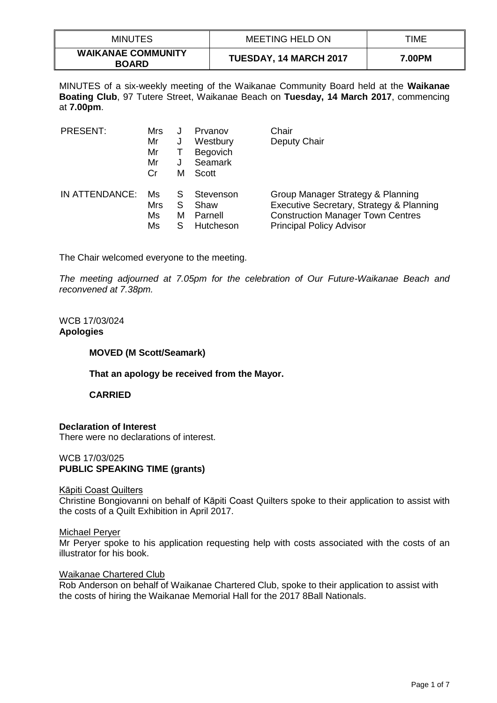| <b>MINUTES</b>                            | <b>MEETING HELD ON</b>        | TIME   |
|-------------------------------------------|-------------------------------|--------|
| <b>WAIKANAE COMMUNITY</b><br><b>BOARD</b> | <b>TUESDAY, 14 MARCH 2017</b> | 7.00PM |

MINUTES of a six-weekly meeting of the Waikanae Community Board held at the **Waikanae Boating Club**, 97 Tutere Street, Waikanae Beach on **Tuesday, 14 March 2017**, commencing at **7.00pm**.

| <b>PRESENT:</b> | Mrs<br>Mr<br>Mr<br>Mr<br>Cr | J<br>м      | Prvanov<br>Westbury<br><b>Begovich</b><br><b>Seamark</b><br>Scott | Chair<br>Deputy Chair                                                                                                                                        |
|-----------------|-----------------------------|-------------|-------------------------------------------------------------------|--------------------------------------------------------------------------------------------------------------------------------------------------------------|
| IN ATTENDANCE:  | Ms<br>Mrs<br>Ms<br>Ms       | S<br>S<br>м | Stevenson<br>Shaw<br>Parnell<br>Hutcheson                         | Group Manager Strategy & Planning<br>Executive Secretary, Strategy & Planning<br><b>Construction Manager Town Centres</b><br><b>Principal Policy Advisor</b> |

The Chair welcomed everyone to the meeting.

*The meeting adjourned at 7.05pm for the celebration of Our Future-Waikanae Beach and reconvened at 7.38pm.*

## WCB 17/03/024 **Apologies**

## **MOVED (M Scott/Seamark)**

## **That an apology be received from the Mayor.**

## **CARRIED**

## **Declaration of Interest**

There were no declarations of interest.

## WCB 17/03/025 **PUBLIC SPEAKING TIME (grants)**

## Kāpiti Coast Quilters

Christine Bongiovanni on behalf of Kāpiti Coast Quilters spoke to their application to assist with the costs of a Quilt Exhibition in April 2017.

## Michael Peryer

Mr Peryer spoke to his application requesting help with costs associated with the costs of an illustrator for his book.

#### Waikanae Chartered Club

Rob Anderson on behalf of Waikanae Chartered Club, spoke to their application to assist with the costs of hiring the Waikanae Memorial Hall for the 2017 8Ball Nationals.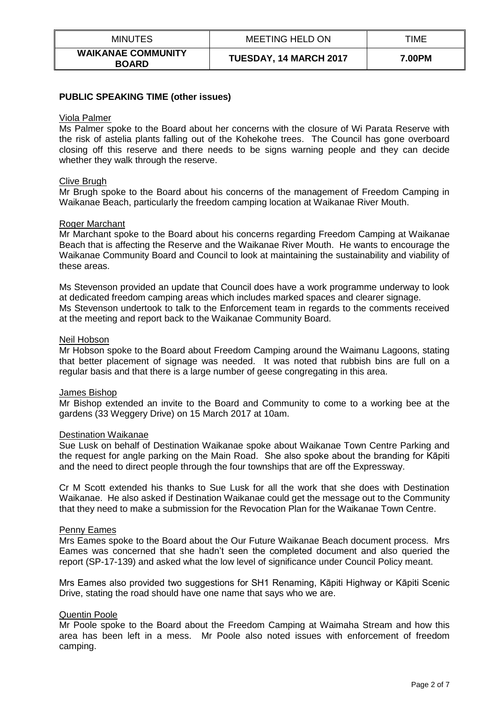| <b>MINUTES</b>                            | MEETING HELD ON               | TIME   |
|-------------------------------------------|-------------------------------|--------|
| <b>WAIKANAE COMMUNITY</b><br><b>BOARD</b> | <b>TUESDAY, 14 MARCH 2017</b> | 7.00PM |

## **PUBLIC SPEAKING TIME (other issues)**

#### Viola Palmer

Ms Palmer spoke to the Board about her concerns with the closure of Wi Parata Reserve with the risk of astelia plants falling out of the Kohekohe trees. The Council has gone overboard closing off this reserve and there needs to be signs warning people and they can decide whether they walk through the reserve.

#### Clive Brugh

Mr Brugh spoke to the Board about his concerns of the management of Freedom Camping in Waikanae Beach, particularly the freedom camping location at Waikanae River Mouth.

#### Roger Marchant

Mr Marchant spoke to the Board about his concerns regarding Freedom Camping at Waikanae Beach that is affecting the Reserve and the Waikanae River Mouth. He wants to encourage the Waikanae Community Board and Council to look at maintaining the sustainability and viability of these areas.

Ms Stevenson provided an update that Council does have a work programme underway to look at dedicated freedom camping areas which includes marked spaces and clearer signage. Ms Stevenson undertook to talk to the Enforcement team in regards to the comments received at the meeting and report back to the Waikanae Community Board.

#### Neil Hobson

Mr Hobson spoke to the Board about Freedom Camping around the Waimanu Lagoons, stating that better placement of signage was needed. It was noted that rubbish bins are full on a regular basis and that there is a large number of geese congregating in this area.

#### James Bishop

Mr Bishop extended an invite to the Board and Community to come to a working bee at the gardens (33 Weggery Drive) on 15 March 2017 at 10am.

#### Destination Waikanae

Sue Lusk on behalf of Destination Waikanae spoke about Waikanae Town Centre Parking and the request for angle parking on the Main Road. She also spoke about the branding for Kāpiti and the need to direct people through the four townships that are off the Expressway.

Cr M Scott extended his thanks to Sue Lusk for all the work that she does with Destination Waikanae. He also asked if Destination Waikanae could get the message out to the Community that they need to make a submission for the Revocation Plan for the Waikanae Town Centre.

#### Penny Eames

Mrs Eames spoke to the Board about the Our Future Waikanae Beach document process. Mrs Eames was concerned that she hadn't seen the completed document and also queried the report (SP-17-139) and asked what the low level of significance under Council Policy meant.

Mrs Eames also provided two suggestions for SH1 Renaming, Kāpiti Highway or Kāpiti Scenic Drive, stating the road should have one name that says who we are.

## Quentin Poole

Mr Poole spoke to the Board about the Freedom Camping at Waimaha Stream and how this area has been left in a mess. Mr Poole also noted issues with enforcement of freedom camping.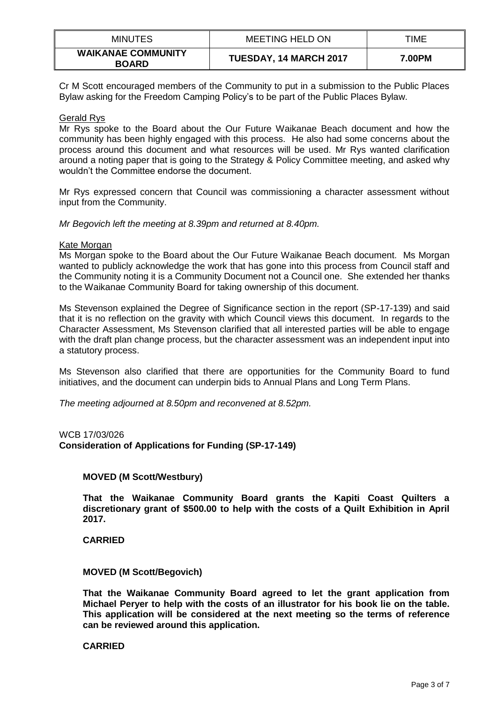| <b>MINUTES</b>                            | <b>MEETING HELD ON</b> | TIME   |
|-------------------------------------------|------------------------|--------|
| <b>WAIKANAE COMMUNITY</b><br><b>BOARD</b> | TUESDAY, 14 MARCH 2017 | 7.00PM |

Cr M Scott encouraged members of the Community to put in a submission to the Public Places Bylaw asking for the Freedom Camping Policy's to be part of the Public Places Bylaw.

## Gerald Rys

Mr Rys spoke to the Board about the Our Future Waikanae Beach document and how the community has been highly engaged with this process. He also had some concerns about the process around this document and what resources will be used. Mr Rys wanted clarification around a noting paper that is going to the Strategy & Policy Committee meeting, and asked why wouldn't the Committee endorse the document.

Mr Rys expressed concern that Council was commissioning a character assessment without input from the Community.

*Mr Begovich left the meeting at 8.39pm and returned at 8.40pm.*

## Kate Morgan

Ms Morgan spoke to the Board about the Our Future Waikanae Beach document. Ms Morgan wanted to publicly acknowledge the work that has gone into this process from Council staff and the Community noting it is a Community Document not a Council one. She extended her thanks to the Waikanae Community Board for taking ownership of this document.

Ms Stevenson explained the Degree of Significance section in the report (SP-17-139) and said that it is no reflection on the gravity with which Council views this document. In regards to the Character Assessment, Ms Stevenson clarified that all interested parties will be able to engage with the draft plan change process, but the character assessment was an independent input into a statutory process.

Ms Stevenson also clarified that there are opportunities for the Community Board to fund initiatives, and the document can underpin bids to Annual Plans and Long Term Plans.

*The meeting adjourned at 8.50pm and reconvened at 8.52pm.*

WCB 17/03/026 **Consideration of Applications for Funding (SP-17-149)**

# **MOVED (M Scott/Westbury)**

**That the Waikanae Community Board grants the Kapiti Coast Quilters a discretionary grant of \$500.00 to help with the costs of a Quilt Exhibition in April 2017.**

**CARRIED**

## **MOVED (M Scott/Begovich)**

**That the Waikanae Community Board agreed to let the grant application from Michael Peryer to help with the costs of an illustrator for his book lie on the table. This application will be considered at the next meeting so the terms of reference can be reviewed around this application.** 

## **CARRIED**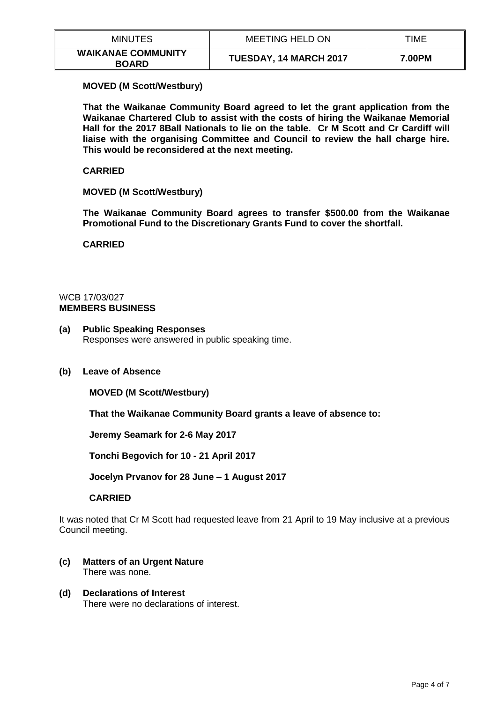| <b>MINUTES</b>                            | <b>MEETING HELD ON</b> | TIME   |
|-------------------------------------------|------------------------|--------|
| <b>WAIKANAE COMMUNITY</b><br><b>BOARD</b> | TUESDAY, 14 MARCH 2017 | 7.00PM |

## **MOVED (M Scott/Westbury)**

**That the Waikanae Community Board agreed to let the grant application from the Waikanae Chartered Club to assist with the costs of hiring the Waikanae Memorial Hall for the 2017 8Ball Nationals to lie on the table. Cr M Scott and Cr Cardiff will liaise with the organising Committee and Council to review the hall charge hire. This would be reconsidered at the next meeting.**

## **CARRIED**

## **MOVED (M Scott/Westbury)**

**The Waikanae Community Board agrees to transfer \$500.00 from the Waikanae Promotional Fund to the Discretionary Grants Fund to cover the shortfall.**

**CARRIED**

## WCB 17/03/027 **MEMBERS BUSINESS**

- **(a) Public Speaking Responses** Responses were answered in public speaking time.
- **(b) Leave of Absence**

**MOVED (M Scott/Westbury)**

**That the Waikanae Community Board grants a leave of absence to:**

**Jeremy Seamark for 2-6 May 2017**

**Tonchi Begovich for 10 - 21 April 2017**

**Jocelyn Prvanov for 28 June – 1 August 2017**

## **CARRIED**

It was noted that Cr M Scott had requested leave from 21 April to 19 May inclusive at a previous Council meeting.

- **(c) Matters of an Urgent Nature** There was none.
- **(d) Declarations of Interest** There were no declarations of interest.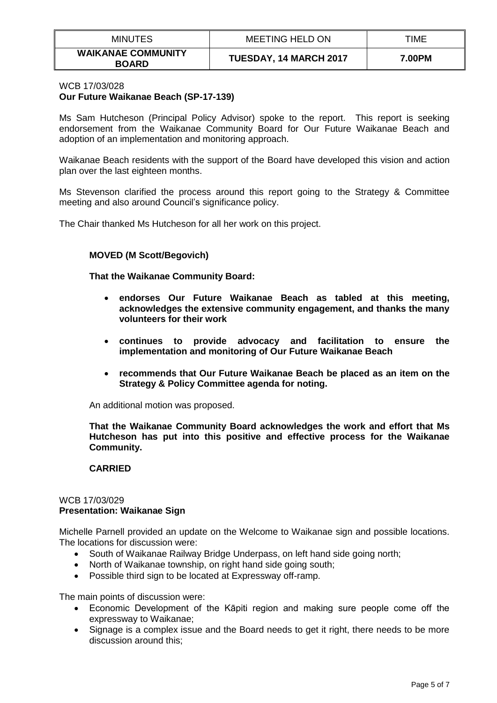| <b>MINUTES</b>                            | <b>MEETING HELD ON</b>        | TIME   |
|-------------------------------------------|-------------------------------|--------|
| <b>WAIKANAE COMMUNITY</b><br><b>BOARD</b> | <b>TUESDAY, 14 MARCH 2017</b> | 7.00PM |

## WCB 17/03/028 **Our Future Waikanae Beach (SP-17-139)**

Ms Sam Hutcheson (Principal Policy Advisor) spoke to the report. This report is seeking endorsement from the Waikanae Community Board for Our Future Waikanae Beach and adoption of an implementation and monitoring approach.

Waikanae Beach residents with the support of the Board have developed this vision and action plan over the last eighteen months.

Ms Stevenson clarified the process around this report going to the Strategy & Committee meeting and also around Council's significance policy.

The Chair thanked Ms Hutcheson for all her work on this project.

# **MOVED (M Scott/Begovich)**

**That the Waikanae Community Board:**

- **endorses Our Future Waikanae Beach as tabled at this meeting, acknowledges the extensive community engagement, and thanks the many volunteers for their work**
- **continues to provide advocacy and facilitation to ensure the implementation and monitoring of Our Future Waikanae Beach**
- **recommends that Our Future Waikanae Beach be placed as an item on the Strategy & Policy Committee agenda for noting.**

An additional motion was proposed.

**That the Waikanae Community Board acknowledges the work and effort that Ms Hutcheson has put into this positive and effective process for the Waikanae Community.**

## **CARRIED**

## WCB 17/03/029 **Presentation: Waikanae Sign**

Michelle Parnell provided an update on the Welcome to Waikanae sign and possible locations. The locations for discussion were:

- South of Waikanae Railway Bridge Underpass, on left hand side going north;
- North of Waikanae township, on right hand side going south;
- Possible third sign to be located at Expressway off-ramp.

The main points of discussion were:

- Economic Development of the Kāpiti region and making sure people come off the expressway to Waikanae;
- Signage is a complex issue and the Board needs to get it right, there needs to be more discussion around this;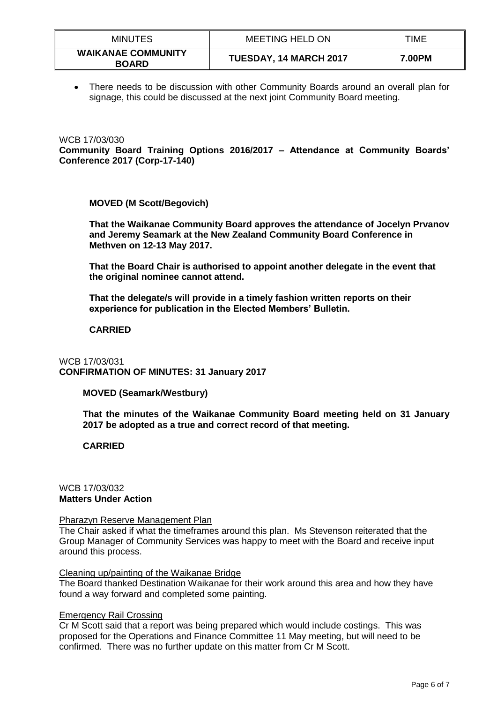| <b>MINUTES</b>                            | <b>MEETING HELD ON</b> | TIME   |
|-------------------------------------------|------------------------|--------|
| <b>WAIKANAE COMMUNITY</b><br><b>BOARD</b> | TUESDAY, 14 MARCH 2017 | 7.00PM |

 There needs to be discussion with other Community Boards around an overall plan for signage, this could be discussed at the next joint Community Board meeting.

WCB 17/03/030 **Community Board Training Options 2016/2017 – Attendance at Community Boards' Conference 2017 (Corp-17-140)**

**MOVED (M Scott/Begovich)**

**That the Waikanae Community Board approves the attendance of Jocelyn Prvanov and Jeremy Seamark at the New Zealand Community Board Conference in Methven on 12-13 May 2017.**

**That the Board Chair is authorised to appoint another delegate in the event that the original nominee cannot attend.**

**That the delegate/s will provide in a timely fashion written reports on their experience for publication in the Elected Members' Bulletin.**

## **CARRIED**

# WCB 17/03/031 **CONFIRMATION OF MINUTES: 31 January 2017**

# **MOVED (Seamark/Westbury)**

**That the minutes of the Waikanae Community Board meeting held on 31 January 2017 be adopted as a true and correct record of that meeting.** 

# **CARRIED**

# WCB 17/03/032 **Matters Under Action**

## Pharazyn Reserve Management Plan

The Chair asked if what the timeframes around this plan. Ms Stevenson reiterated that the Group Manager of Community Services was happy to meet with the Board and receive input around this process.

## Cleaning up/painting of the Waikanae Bridge

The Board thanked Destination Waikanae for their work around this area and how they have found a way forward and completed some painting.

## Emergency Rail Crossing

Cr M Scott said that a report was being prepared which would include costings. This was proposed for the Operations and Finance Committee 11 May meeting, but will need to be confirmed. There was no further update on this matter from Cr M Scott.